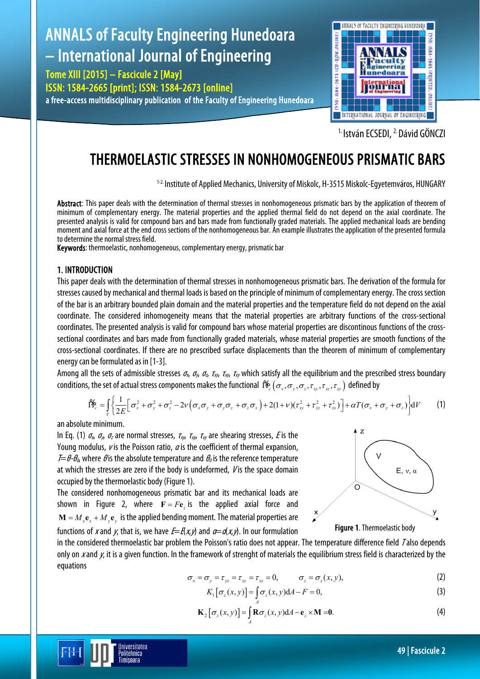# ANNALS of Faculty Engineering Hunedoara 1998: ISB4-2673 (CD-ROM.ONLINE – International Journal of Engineering aculty igineering Tome XIII [2015] – Fascicule 2 [May] ISSN: 1584-2665 [print]; ISSN: 1584-2673 [online] a free-access multidisciplinary publication of the Faculty of Engineering Hunedoara



<sup>1.</sup> István ECSEDI, <sup>2.</sup> Dávid GÖNCZI

# THERMOELASTIC STRESSES IN NONHOMOGENEOUS PRISMATIC BARS

1-2. Institute of Applied Mechanics, University of Miskolc, H-3515 Miskolc-Egyetemváros, HUNGARY

Abstract: This paper deals with the determination of thermal stresses in nonhomogeneous prismatic bars by the application of theorem of minimum of complementary energy. The material properties and the applied thermal field do not depend on the axial coordinate. The presented analysis is valid for compound bars and bars made from functionally graded materials. The applied mechanical loads are bending moment and axial force at the end cross sections of the nonhomogeneous bar. An example illustrates the application of the presented formula to determine the normal stress field.

Keywords: thermoelastic, nonhomogeneous, complementary energy, prismatic bar

# 1. INTRODUCTION

This paper deals with the determination of thermal stresses in nonhomogeneous prismatic bars. The derivation of the formula for stresses caused by mechanical and thermal loads is based on the principle of minimum of complementary energy. The cross section of the bar is an arbitrary bounded plain domain and the material properties and the temperature field do not depend on the axial coordinate. The considered inhomogeneity means that the material properties are arbitrary functions of the cross-sectional coordinates. The presented analysis is valid for compound bars whose material properties are discontinous functions of the crosssectional coordinates and bars made from functionally graded materials, whose material properties are smooth functions of the cross-sectional coordinates. If there are no prescribed surface displacements than the theorem of minimum of complementary energy can be formulated as in [1-3].

Among all the sets of admissible stresses  $\sigma_x$ ,  $\sigma_y$ ,  $\sigma_z$ ,  $\tau_{xy}$ ,  $\tau_{xy}$ ,  $\tau_{xy}$ ,  $\tau_{xy}$ ,  $\tau_{xy}$  and the equilibrium and the prescribed stress boundary conditions, the set of actual stress components makes the functional  $\,\M_{c}(\sigma_x,\sigma_y,\sigma_z,\tau_{xy},\tau_{xz},\tau_{zy})\,$  defined by

$$
\mathbf{f}_{\mathcal{C}}^{\mathbf{A}} = \int_{V} \left\{ \frac{1}{2E} \left[ \sigma_{x}^{2} + \sigma_{y}^{2} + \sigma_{z}^{2} - 2\nu \left( \sigma_{x} \sigma_{y} + \sigma_{y} \sigma_{z} + \sigma_{z} \sigma_{x} \right) + 2(1+\nu)(\tau_{xy}^{2} + \tau_{yz}^{2} + \tau_{zx}^{2}) \right] + \alpha T (\sigma_{x} + \sigma_{y} + \sigma_{z}) \right\} dV \tag{1}
$$

an absolute minimum.

In Eq. (1)  $\sigma_x$ ,  $\sigma_y$ ,  $\sigma_z$  are normal stresses,  $\tau_{xy}$ ,  $\tau_{xy}$ ,  $\tau_{xy}$  are shearing stresses, *E* is the Young modulus,  $\nu$  is the Poisson ratio,  $\alpha$  is the coefficient of thermal expansion,  $\mathcal{T}=\theta-\theta_0$ , where  $\theta$  is the absolute temperature and  $\theta_0$  is the reference temperature at which the stresses are zero if the body is undeformed,  $V$  is the space domain occupied by the thermoelastic body (Figure 1).

The considered nonhomogeneous prismatic bar and its mechanical loads are shown in Figure 2, where  $\mathbf{F} = F \mathbf{e}_z$  is the applied axial force and  $\mathbf{M} = M_{\nu} \mathbf{e}_{\nu} + M_{\nu} \mathbf{e}_{\nu}$  is the applied bending moment. The material properties are functions of x and y, that is, we have  $E=K(x,y)$  and  $\alpha=\alpha(x,y)$ . In our formulation

> **Iniversitatea** Politehnica Timisoara



in the considered thermoelastic bar problem the Poisson's ratio does not appear. The temperature difference field <sup>T</sup> also depends only on x and  $\mu$ , it is a given function. In the framework of strenght of materials the equilibrium stress field is characterized by the equations

$$
\sigma_x = \sigma_y = \tau_{yz} = \tau_{xy} = \tau_{xz} = 0, \qquad \sigma_z = \sigma_z(x, y), \qquad (2)
$$

$$
K_1\big[\sigma_z(x,y)\big]=\int_A \sigma_z(x,y)dA-F=0,
$$
\n(3)

$$
\mathbf{K}_{2}\big[\sigma_{z}(x,y)\big]=\int_{A}\mathbf{R}\sigma_{z}(x,y)dA-\mathbf{e}_{z}\times\mathbf{M}=0.\tag{4}
$$

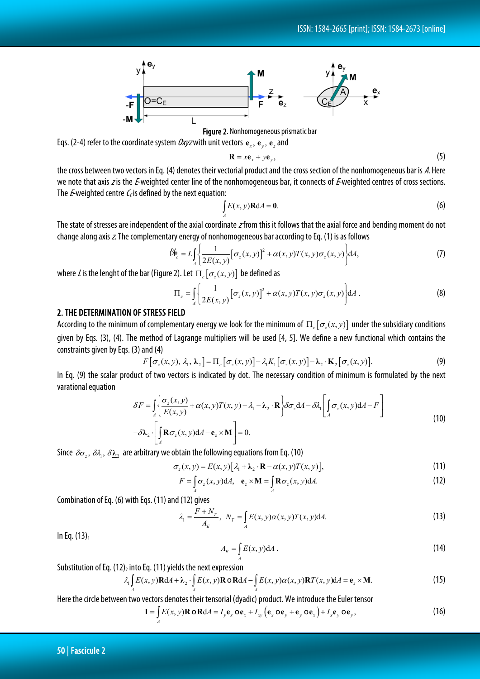

Figure 2. Nonhomogeneous prismatic bar Eqs. (2-4) refer to the coordinate system  $Oxyz$  with unit vectors  ${\bf e}_x, {\bf e}_y, {\bf e}_z$  and

$$
\mathbf{R} = x\mathbf{e}_x + y\mathbf{e}_y, \tag{5}
$$

the cross between two vectors in Eq. (4) denotes their vectorial product and the cross section of the nonhomogeneous bar is A. Here we note that axis z is the E-weighted center line of the nonhomogeneous bar, it connects of E-weighted centres of cross sections. The *E*-weighted centre  $C_f$  is defined by the next equation:

$$
\int_{A} E(x, y) \mathbf{R} dA = \mathbf{0}.
$$
 (6)

The state of stresses are independent of the axial coordinate  $z$  from this it follows that the axial force and bending moment do not change along axis z. The complementary energy of nonhomogeneous bar according to Eq. (1) is as follows

$$
\hat{\Pi}_{c}^{\mathbf{b}} = L \int_{A} \left\{ \frac{1}{2E(x, y)} \left[ \sigma_{z}(x, y) \right]^{2} + \alpha(x, y) T(x, y) \sigma_{z}(x, y) \right\} dA, \tag{7}
$$

where L is the lenght of the bar (Figure 2). Let  $\Pi_c[\sigma_s(x, y)]$  be defined as

$$
\Pi_c = \int_A \left\{ \frac{1}{2E(x, y)} \left[ \sigma_z(x, y) \right]^2 + \alpha(x, y) T(x, y) \sigma_z(x, y) \right\} dA.
$$
 (8)

### 2. THE DETERMINATION OF STRESS FIELD

According to the minimum of complementary energy we look for the minimum of  $\Pi_{c}[\sigma_{c}(x, y)]$  under the subsidiary conditions given by Eqs. (3), (4). The method of Lagrange multipliers will be used [4, 5]. We define a new functional which contains the constraints given by Eqs. (3) and (4)

$$
F[\sigma_z(x, y), \lambda_1, \lambda_2] = \Pi_c[\sigma_z(x, y)] - \lambda_1 K_1[\sigma_z(x, y)] - \lambda_2 \cdot \mathbf{K}_2[\sigma_z(x, y)].
$$
\n(9)

In Eq. (9) the scalar product of two vectors is indicated by dot. The necessary condition of minimum is formulated by the next varational equation

$$
\delta F = \int_{A} \left\{ \frac{\sigma_z(x, y)}{E(x, y)} + \alpha(x, y)T(x, y) - \lambda_1 - \lambda_2 \cdot \mathbf{R} \right\} \delta \sigma_z dA - \delta \lambda_1 \left[ \int_{A} \sigma_z(x, y) dA - F \right]
$$
  
-  $\delta \lambda_2 \cdot \left[ \int_{A} \mathbf{R} \sigma_z(x, y) dA - \mathbf{e}_z \times \mathbf{M} \right] = 0.$  (10)

Since  $\delta \sigma_z$ ,  $\delta \lambda_1$ ,  $\delta \underline{\lambda_2}$  are arbitrary we obtain the following equations from Eq. (10)

$$
\sigma_z(x, y) = E(x, y) [\lambda_1 + \lambda_2 \cdot \mathbf{R} - \alpha(x, y) T(x, y)], \tag{11}
$$

$$
F = \int_{A} \sigma_z(x, y) dA, \quad \mathbf{e}_z \times \mathbf{M} = \int_{A} \mathbf{R} \sigma_z(x, y) dA.
$$
 (12)

Combination of Eq. (6) with Eqs. (11) and (12) gives

$$
\lambda_1 = \frac{F + N_T}{A_E}, \quad N_T = \int_A E(x, y) \alpha(x, y) T(x, y) dA. \tag{13}
$$

In Eq.  $(13)_{1}$ 

$$
A_E = \int_A E(x, y) \mathrm{d}A \,. \tag{14}
$$

Substitution of Eq.  $(12)_2$  into Eq.  $(11)$  yields the next expression

$$
\lambda_1 \int_A E(x, y) \mathbf{R} dA + \lambda_2 \cdot \int_A E(x, y) \mathbf{R} \cdot \mathbf{R} dA - \int_A E(x, y) \alpha(x, y) \mathbf{R} T(x, y) dA = \mathbf{e}_z \times \mathbf{M}.
$$
 (15)

Here the circle between two vectors denotes their tensorial (dyadic) product. We introduce the Euler tensor

$$
\mathbf{I} = \int_{A} E(x, y) \mathbf{R} \, \mathbf{O} \, \mathbf{R} \, \mathrm{d}A = I_{y} \mathbf{e}_{x} \, \mathbf{O} \mathbf{e}_{x} + I_{xy} \left( \mathbf{e}_{x} \, \mathbf{O} \mathbf{e}_{y} + \mathbf{e}_{y} \, \mathbf{O} \mathbf{e}_{x} \right) + I_{x} \mathbf{e}_{y} \, \mathbf{O} \mathbf{e}_{y}, \tag{16}
$$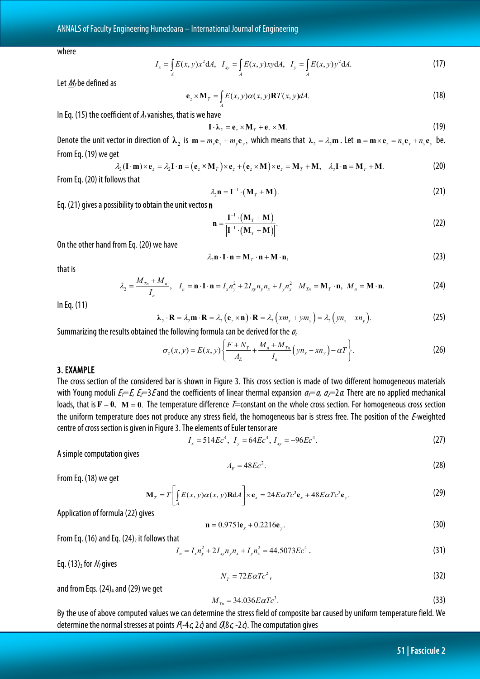where

$$
I_x = \int_A E(x, y) x^2 dA, \quad I_{xy} = \int_A E(x, y) xy dA, \quad I_y = \int_A E(x, y) y^2 dA.
$$
 (17)

Let  $M<sub>7</sub>$  be defined as

$$
\mathbf{e}_z \times \mathbf{M}_T = \int_A E(x, y) \alpha(x, y) \mathbf{R} T(x, y) dA. \tag{18}
$$

In Eq. (15) the coefficient of  $\lambda_1$  vanishes, that is we have

$$
\mathbf{I} \cdot \mathbf{\lambda}_2 = \mathbf{e}_z \times \mathbf{M}_T + \mathbf{e}_z \times \mathbf{M}.\tag{19}
$$

Denote the unit vector in direction of  $\lambda_2$  is  $m = m_x e_x + m_y e_y$ , which means that  $\lambda_2 = \lambda_2 m$ . Let  $n = m \times e_z = n_x e_x + n_y e_y$  be. From Eq. (19) we get

$$
\lambda_2(\mathbf{I} \cdot \mathbf{m}) \times \mathbf{e}_z = \lambda_2 \mathbf{I} \cdot \mathbf{n} = (\mathbf{e}_z \times \mathbf{M}_T) \times \mathbf{e}_z + (\mathbf{e}_z \times \mathbf{M}) \times \mathbf{e}_z = \mathbf{M}_T + \mathbf{M}, \quad \lambda_2 \mathbf{I} \cdot \mathbf{n} = \mathbf{M}_T + \mathbf{M}.
$$
 (20)

From Eq. (20) it follows that

$$
\lambda_2 \mathbf{n} = \mathbf{I}^{-1} \cdot (\mathbf{M}_T + \mathbf{M}). \tag{21}
$$

Eq. (21) gives a possibility to obtain the unit vectos n

$$
\mathbf{n} = \frac{\mathbf{I}^{-1} \cdot (\mathbf{M}_T + \mathbf{M})}{\left|\mathbf{I}^{-1} \cdot (\mathbf{M}_T + \mathbf{M})\right|}.
$$
 (22)

On the other hand from Eq. (20) we have

$$
\lambda_2 \mathbf{n} \cdot \mathbf{I} \cdot \mathbf{n} = \mathbf{M}_T \cdot \mathbf{n} + \mathbf{M} \cdot \mathbf{n},\tag{23}
$$

that is

$$
\lambda_2 = \frac{M_{Tn} + M_n}{I_n}, \quad I_n = \mathbf{n} \cdot \mathbf{I} \cdot \mathbf{n} = I_x n_y^2 + 2I_{xy} n_y n_x + I_y n_x^2 \quad M_{Tn} = \mathbf{M}_T \cdot \mathbf{n}, \quad M_n = \mathbf{M} \cdot \mathbf{n}.
$$

In Eq. (11)

$$
\lambda_2 \cdot \mathbf{R} = \lambda_2 \mathbf{m} \cdot \mathbf{R} = \lambda_2 \left( \mathbf{e}_z \times \mathbf{n} \right) \cdot \mathbf{R} = \lambda_2 \left( x m_x + y m_y \right) = \lambda_2 \left( y n_x - x n_y \right). \tag{25}
$$

Summarizing the results obtained the following formula can be derived for the  $\sigma$ 

$$
\sigma_z(x, y) = E(x, y) \left\{ \frac{F + N_T}{A_E} + \frac{M_n + M_{T_n}}{I_n} \left( y n_x - x n_y \right) - \alpha T \right\}.
$$
 (26)

# 3. EXAMPLE

The cross section of the considered bar is shown in Figure 3. This cross section is made of two different homogeneous materials with Young moduli  $E=E$ ,  $E=3E$  and the coefficients of linear thermal expansion  $a= a$ ,  $a=2a$ . There are no applied mechanical loads, that is  $F = 0$ ,  $M = 0$ . The temperature difference  $F=$  constant on the whole cross section. For homogeneous cross section the uniform temperature does not produce any stress field, the homogeneous bar is stress free. The position of the E-weighted centre of cross section is given in Figure 3. The elements of Euler tensor are

$$
I_x = 514Ec^4, I_y = 64Ec^4, I_{xy} = -96Ec^4.
$$
 (27)

A simple computation gives

$$
A_E = 48Ec^2. \tag{28}
$$

From Eq. (18) we get

$$
\mathbf{M}_{T} = T \left[ \int_{A} E(x, y) \alpha(x, y) \mathbf{R} \mathrm{d}A \right] \times \mathbf{e}_{z} = 24 E \alpha T c^{3} \mathbf{e}_{x} + 48 E \alpha T c^{3} \mathbf{e}_{y}. \tag{29}
$$

Application of formula (22) gives

$$
\mathbf{n} = 0.9751 \mathbf{e}_x + 0.2216 \mathbf{e}_y. \tag{30}
$$

From Eq. (16) and Eq.  $(24)_2$  it follows that

$$
I_n = I_x n_y^2 + 2I_{xy} n_y n_x + I_y n_x^2 = 44.5073 Ec^4.
$$
\n(31)

Eq. (13)<sub>2</sub> for  $N<sub>T</sub>$ gives

$$
N_{T} = 72E\alpha Tc^{2},\tag{32}
$$

and from Eqs.  $(24)_4$  and  $(29)$  we get

$$
M_{Tn} = 34.036E\alpha Tc^3. \tag{33}
$$

By the use of above computed values we can determine the stress field of composite bar caused by uniform temperature field. We determine the normal stresses at points  $A-4c$ ,  $2d$  and  $A(8c, -2d)$ . The computation gives